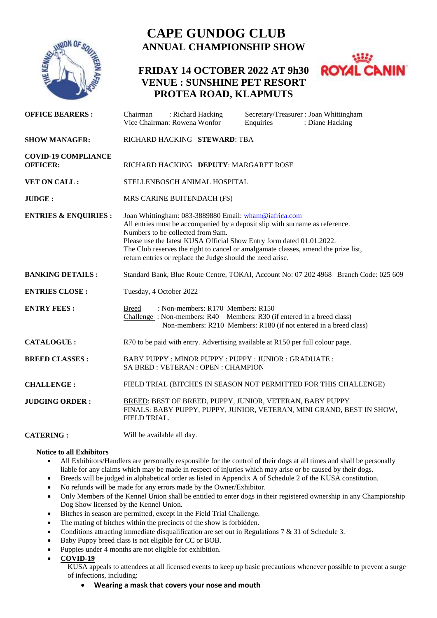

# **CAPE GUNDOG CLUB ANNUAL CHAMPIONSHIP SHOW**

## **FRIDAY 14 OCTOBER 2022 AT 9h30 VENUE : SUNSHINE PET RESORT PROTEA ROAD, KLAPMUTS**



| <b>OFFICE BEARERS:</b>                        | : Richard Hacking<br>Secretary/Treasurer: Joan Whittingham<br>Chairman<br>Vice Chairman: Rowena Wonfor<br>Enquiries<br>: Diane Hacking                                                                                                                                                                                                                                                                  |
|-----------------------------------------------|---------------------------------------------------------------------------------------------------------------------------------------------------------------------------------------------------------------------------------------------------------------------------------------------------------------------------------------------------------------------------------------------------------|
| <b>SHOW MANAGER:</b>                          | RICHARD HACKING STEWARD: TBA                                                                                                                                                                                                                                                                                                                                                                            |
| <b>COVID-19 COMPLIANCE</b><br><b>OFFICER:</b> | RICHARD HACKING DEPUTY: MARGARET ROSE                                                                                                                                                                                                                                                                                                                                                                   |
| VET ON CALL:                                  | STELLENBOSCH ANIMAL HOSPITAL                                                                                                                                                                                                                                                                                                                                                                            |
| JUDGE:                                        | MRS CARINE BUITENDACH (FS)                                                                                                                                                                                                                                                                                                                                                                              |
| <b>ENTRIES &amp; ENQUIRIES:</b>               | Joan Whittingham: 083-3889880 Email: wham@iafrica.com<br>All entries must be accompanied by a deposit slip with surname as reference.<br>Numbers to be collected from 9am.<br>Please use the latest KUSA Official Show Entry form dated 01.01.2022.<br>The Club reserves the right to cancel or amalgamate classes, amend the prize list,<br>return entries or replace the Judge should the need arise. |
| <b>BANKING DETAILS:</b>                       | Standard Bank, Blue Route Centre, TOKAI, Account No: 07 202 4968 Branch Code: 025 609                                                                                                                                                                                                                                                                                                                   |
| <b>ENTRIES CLOSE:</b>                         | Tuesday, 4 October 2022                                                                                                                                                                                                                                                                                                                                                                                 |
| <b>ENTRY FEES:</b>                            | : Non-members: R170 Members: R150<br>Breed<br>Challenge: Non-members: R40 Members: R30 (if entered in a breed class)<br>Non-members: R210 Members: R180 (if not entered in a breed class)                                                                                                                                                                                                               |
| <b>CATALOGUE:</b>                             | R70 to be paid with entry. Advertising available at R150 per full colour page.                                                                                                                                                                                                                                                                                                                          |
| <b>BREED CLASSES:</b>                         | BABY PUPPY: MINOR PUPPY: PUPPY: JUNIOR: GRADUATE:<br>SA BRED: VETERAN: OPEN: CHAMPION                                                                                                                                                                                                                                                                                                                   |
| <b>CHALLENGE:</b>                             | FIELD TRIAL (BITCHES IN SEASON NOT PERMITTED FOR THIS CHALLENGE)                                                                                                                                                                                                                                                                                                                                        |
| <b>JUDGING ORDER:</b>                         | BREED: BEST OF BREED, PUPPY, JUNIOR, VETERAN, BABY PUPPY<br>FINALS: BABY PUPPY, PUPPY, JUNIOR, VETERAN, MINI GRAND, BEST IN SHOW,<br>FIELD TRIAL.                                                                                                                                                                                                                                                       |

**CATERING :** Will be available all day.

## **Notice to all Exhibitors**

- All Exhibitors/Handlers are personally responsible for the control of their dogs at all times and shall be personally liable for any claims which may be made in respect of injuries which may arise or be caused by their dogs.
- Breeds will be judged in alphabetical order as listed in Appendix A of Schedule 2 of the KUSA constitution.
- No refunds will be made for any errors made by the Owner/Exhibitor.
- Only Members of the Kennel Union shall be entitled to enter dogs in their registered ownership in any Championship Dog Show licensed by the Kennel Union.
- Bitches in season are permitted, except in the Field Trial Challenge.
- The mating of bitches within the precincts of the show is forbidden.
- Conditions attracting immediate disqualification are set out in Regulations 7 & 31 of Schedule 3.
- Baby Puppy breed class is not eligible for CC or BOB.
- Puppies under 4 months are not eligible for exhibition.

**COVID-19**

KUSA appeals to attendees at all licensed events to keep up basic precautions whenever possible to prevent a surge of infections, including:

**Wearing a mask that covers your nose and mouth**